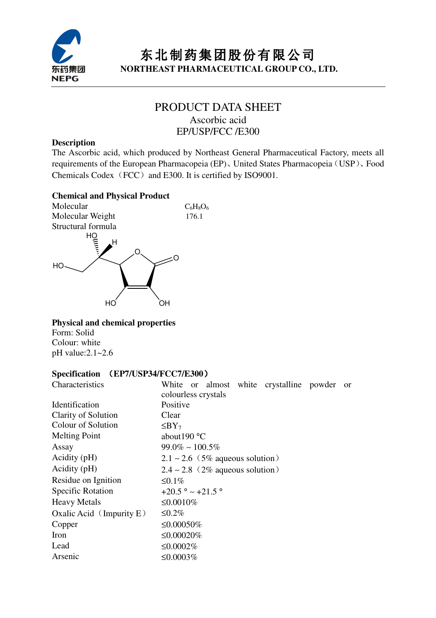

## 东北制药集团股份有限公司 **NORTHEAST PHARMACEUTICAL GROUP CO., LTD.**

## PRODUCT DATA SHEET Ascorbic acid EP/USP/FCC /E300

#### **Description**

The Ascorbic acid, which produced by Northeast General Pharmaceutical Factory, meets all requirements of the European Pharmacopeia (EP)、United States Pharmacopeia(USP)、Food Chemicals Codex (FCC) and E300. It is certified by ISO9001.

#### **Chemical and Physical Product**



**Physical and chemical properties**  Form: Solid Colour: white pH value:2.1~2.6

#### **Specification** (**EP7/USP34/FCC7/E300**)

| Characteristics             | White or almost white crystalline powder or |
|-----------------------------|---------------------------------------------|
|                             | colourless crystals                         |
| Identification              | Positive                                    |
| <b>Clarity of Solution</b>  | Clear                                       |
| Colour of Solution          | $\leq$ BY <sub>7</sub>                      |
| <b>Melting Point</b>        | about $190 °C$                              |
| Assay                       | $99.0\% \sim 100.5\%$                       |
| Acidity (pH)                | $2.1 \sim 2.6$ (5% aqueous solution)        |
| Acidity (pH)                | $2.4 \sim 2.8$ (2% aqueous solution)        |
| Residue on Ignition         | ≤0.1%                                       |
| <b>Specific Rotation</b>    | $+20.5$ ° ~ $+21.5$ °                       |
| <b>Heavy Metals</b>         | ≤0.0010\%                                   |
| Oxalic Acid (Impurity $E$ ) | $\leq 0.2\%$                                |
| Copper                      | ≤0.00050%                                   |
| Iron                        | ≤0.00020%                                   |
| Lead                        | ≤0.0002\%                                   |
| Arsenic                     | ≤0.0003\%                                   |